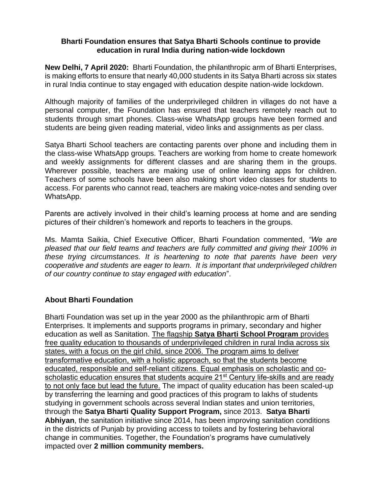## **Bharti Foundation ensures that Satya Bharti Schools continue to provide education in rural India during nation-wide lockdown**

**New Delhi, 7 April 2020:** Bharti Foundation, the philanthropic arm of Bharti Enterprises, is making efforts to ensure that nearly 40,000 students in its Satya Bharti across six states in rural India continue to stay engaged with education despite nation-wide lockdown.

Although majority of families of the underprivileged children in villages do not have a personal computer, the Foundation has ensured that teachers remotely reach out to students through smart phones. Class-wise WhatsApp groups have been formed and students are being given reading material, video links and assignments as per class.

Satya Bharti School teachers are contacting parents over phone and including them in the class-wise WhatsApp groups. Teachers are working from home to create homework and weekly assignments for different classes and are sharing them in the groups. Wherever possible, teachers are making use of online learning apps for children. Teachers of some schools have been also making short video classes for students to access. For parents who cannot read, teachers are making voice-notes and sending over WhatsApp.

Parents are actively involved in their child's learning process at home and are sending pictures of their children's homework and reports to teachers in the groups.

Ms. Mamta Saikia, Chief Executive Officer, Bharti Foundation commented, *"We are pleased that our field teams and teachers are fully committed and giving their 100% in these trying circumstances. It is heartening to note that parents have been very cooperative and students are eager to learn. It is important that underprivileged children of our country continue to stay engaged with education*".

# **About Bharti Foundation**

Bharti Foundation was set up in the year 2000 as the philanthropic arm of Bharti Enterprises. It implements and supports programs in primary, secondary and higher education as well as Sanitation. The flagship **Satya Bharti School Program** provides free quality education to thousands of underprivileged children in rural India across six states, with a focus on the girl child, since 2006. The program aims to deliver transformative education, with a holistic approach, so that the students become educated, responsible and self-reliant citizens. Equal emphasis on scholastic and coscholastic education ensures that students acquire 21<sup>st</sup> Century life-skills and are ready to not only face but lead the future. The impact of quality education has been scaled-up by transferring the learning and good practices of this program to lakhs of students studying in government schools across several Indian states and union territories, through the **Satya Bharti Quality Support Program,** since 2013. **Satya Bharti Abhiyan**, the sanitation initiative since 2014, has been improving sanitation conditions in the districts of Punjab by providing access to toilets and by fostering behavioral change in communities. Together, the Foundation's programs have cumulatively impacted over **2 million community members.**